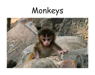# Monkeys

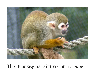

### The monkey is sitting on a rope.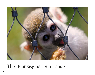

### The monkey is in a cage.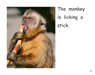

The monkey is licking a stick.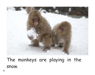

The monkeys are playing in the snow.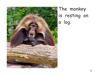

## The monkey is resting on a log.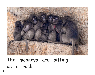

The monkeys are sitting on a rock.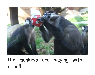

The monkeys are playing with a ball.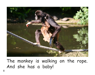

The monkey is walking on the rope. And she has a baby!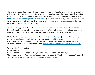The Mustard Seed Books project uses an open-source, Wikipedia-type strategy, leveraging public expertise to create and refine a set of high-quality books that support early reading development. All of the books and pictures are covered by the Creative Commons License (http://creativecommons.org/licenses/by-nc-sa/3.0/ ) and are free to print, distribute, and modify for personal or educational use. The books are available at www.mustardseedbooks.org. New titles appear on a regular basis.

There is a blog post on the website so that we can receive and discuss feedback on the books. These books have been revised a number of times, but we'd love to keep improving them. Any feedback is welcome. We also welcome photos or ideas for new books.

Photos for these books come primarily from Flickr (www.flickr.com) and the Morgue File (www.morguefile.com). Both sites are great resources for high-quality publicly accessible photos and for aspiring photographers looking to share their work. All photographs are covered by the Creative Commons License (http://creativecommons.org/licenses/by-nc-sa/3.0/ ).

#### **Text credits:** Elizabeth Kim

#### **Photo credits:**

Cover: Joseph Younis; page 1: Morgue File; ; page 2: "Tambako the Jaguar"; page 3: "Tambako the Jaguar"; page 4: Masashi Mochida; page 5: "Tambako the Jaguar"; page 6: "Tambako the Jaguar"; page 7: Morgue File; page 8: "jasejc"